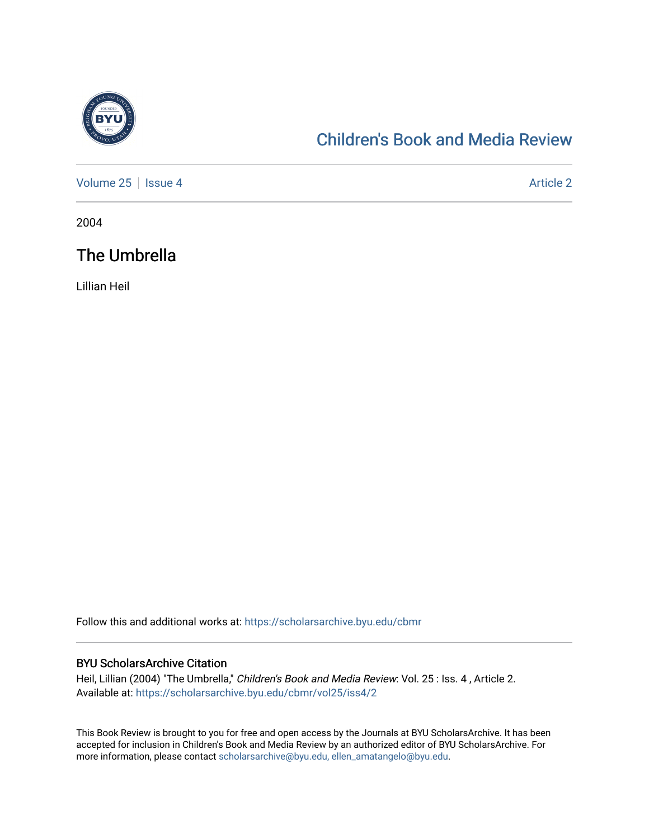

## [Children's Book and Media Review](https://scholarsarchive.byu.edu/cbmr)

[Volume 25](https://scholarsarchive.byu.edu/cbmr/vol25) | [Issue 4](https://scholarsarchive.byu.edu/cbmr/vol25/iss4) Article 2

2004

## The Umbrella

Lillian Heil

Follow this and additional works at: [https://scholarsarchive.byu.edu/cbmr](https://scholarsarchive.byu.edu/cbmr?utm_source=scholarsarchive.byu.edu%2Fcbmr%2Fvol25%2Fiss4%2F2&utm_medium=PDF&utm_campaign=PDFCoverPages) 

## BYU ScholarsArchive Citation

Heil, Lillian (2004) "The Umbrella," Children's Book and Media Review: Vol. 25 : Iss. 4 , Article 2. Available at: [https://scholarsarchive.byu.edu/cbmr/vol25/iss4/2](https://scholarsarchive.byu.edu/cbmr/vol25/iss4/2?utm_source=scholarsarchive.byu.edu%2Fcbmr%2Fvol25%2Fiss4%2F2&utm_medium=PDF&utm_campaign=PDFCoverPages) 

This Book Review is brought to you for free and open access by the Journals at BYU ScholarsArchive. It has been accepted for inclusion in Children's Book and Media Review by an authorized editor of BYU ScholarsArchive. For more information, please contact [scholarsarchive@byu.edu, ellen\\_amatangelo@byu.edu.](mailto:scholarsarchive@byu.edu,%20ellen_amatangelo@byu.edu)